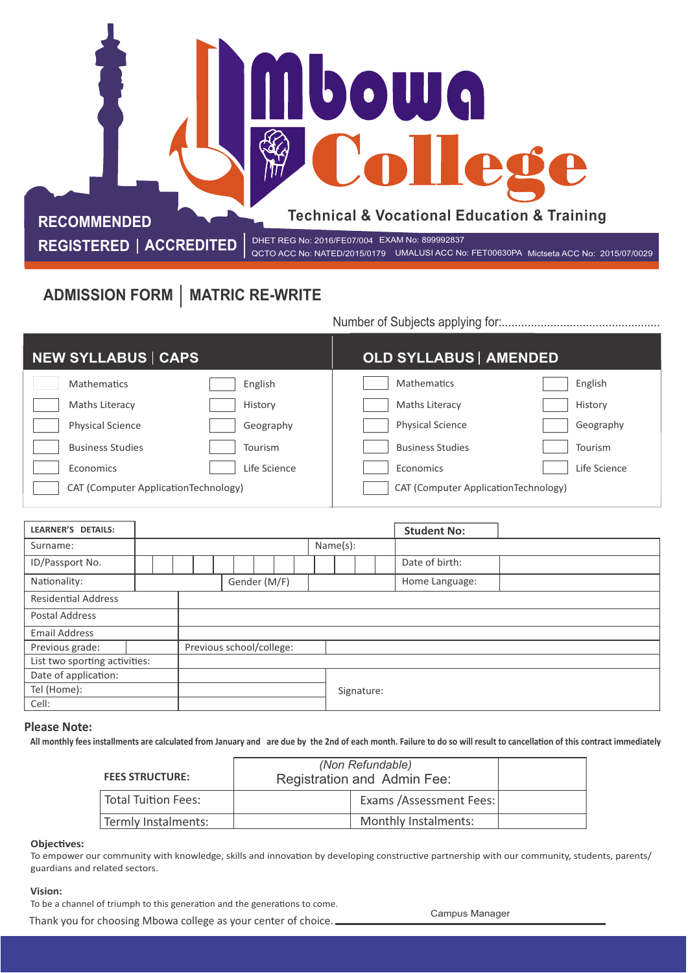# **bowg** College **Technical & Vocational Education & Training RECOMMENDED**

 **REGISTERED | ACCREDITED |** DHET REG No: 2016/FE07/004 EXAM No: 899992837<br>QCTO ACC No: RETO0630PA

QCTO ACC No: NATED/2015/0179 UMALUSI ACC No: FET00630PA Mictseta ACC No: 2015/07/0029

## ADMISSION FORM | MATRIC RE-WRITE

Number of Subjects applying for:.................................................

| <b>NEW SYLLABUS   CAPS</b>           | <b>OLD SYLLABUS   AMENDED</b>        |
|--------------------------------------|--------------------------------------|
| <b>Mathematics</b>                   | English                              |
| English                              | <b>Mathematics</b>                   |
| Maths Literacy                       | History                              |
| History                              | Maths Literacy                       |
| <b>Physical Science</b>              | <b>Physical Science</b>              |
| Geography                            | Geography                            |
| <b>Business Studies</b>              | <b>Business Studies</b>              |
| Tourism                              | Tourism                              |
| Life Science                         | Life Science                         |
| Economics                            | <b>Economics</b>                     |
| CAT (Computer ApplicationTechnology) | CAT (Computer ApplicationTechnology) |

| <b>LEARNER'S DETAILS:</b>     |  |  |                          |              |  |          |  | <b>Student No:</b> |  |
|-------------------------------|--|--|--------------------------|--------------|--|----------|--|--------------------|--|
| Surname:                      |  |  |                          |              |  | Name(s): |  |                    |  |
| ID/Passport No.               |  |  |                          |              |  |          |  | Date of birth:     |  |
| Nationality:                  |  |  |                          | Gender (M/F) |  |          |  | Home Language:     |  |
| <b>Residential Address</b>    |  |  |                          |              |  |          |  |                    |  |
| Postal Address                |  |  |                          |              |  |          |  |                    |  |
| <b>Email Address</b>          |  |  |                          |              |  |          |  |                    |  |
| Previous grade:               |  |  | Previous school/college: |              |  |          |  |                    |  |
| List two sporting activities: |  |  |                          |              |  |          |  |                    |  |
| Date of application:          |  |  |                          |              |  |          |  |                    |  |
| Tel (Home):                   |  |  | Signature:               |              |  |          |  |                    |  |
| Cell:                         |  |  |                          |              |  |          |  |                    |  |

#### **Please Note:**

All monthly fees installments are calculated from January and are due by the 2nd of each month. Failure to do so will result to cancellation of this contract immediately

| <b>FEES STRUCTURE:</b> | (Non Refundable)<br>Registration and Admin Fee: |                          |  |
|------------------------|-------------------------------------------------|--------------------------|--|
| Total Tuition Fees:    |                                                 | Exams / Assessment Fees: |  |
| Termly Instalments:    |                                                 | Monthly Instalments:     |  |

#### **Objectives:**

To empower our community with knowledge, skills and innovation by developing constructive partnership with our community, students, parents/ guardians and related sectors.

#### **Vision:**

To be a channel of triumph to this generation and the generations to come.

Thank you for choosing Mbowa college as your center of choice. Campus Manager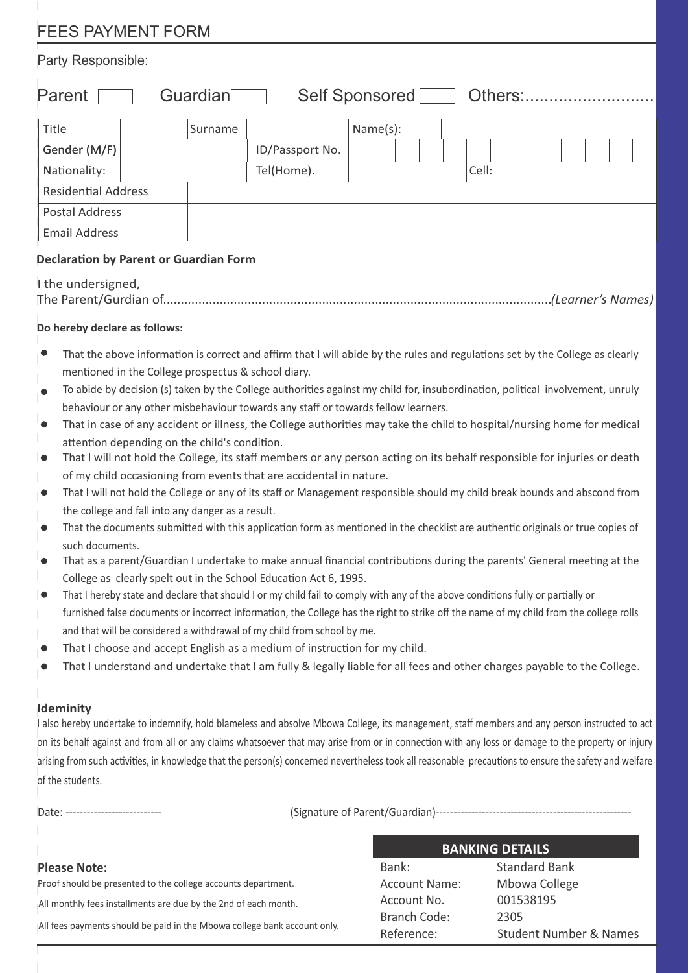# FEES PAYMENT FORM

### Party Responsible:

Parent Guardian Self Sponsored Others:...........................

| Title                      | Surname    |                 | Name(s): |  |       |  |  |  |  |
|----------------------------|------------|-----------------|----------|--|-------|--|--|--|--|
| Gender (M/F)               |            | ID/Passport No. |          |  |       |  |  |  |  |
| Nationality:               | Tel(Home). |                 |          |  | Cell: |  |  |  |  |
| <b>Residential Address</b> |            |                 |          |  |       |  |  |  |  |
| <b>Postal Address</b>      |            |                 |          |  |       |  |  |  |  |
| <b>Email Address</b>       |            |                 |          |  |       |  |  |  |  |

## **Declaration by Parent or Guardian Form**

| I the undersigned, |  |
|--------------------|--|
|                    |  |

## **Do hereby declare as follows:**

- That the above information is correct and affirm that I will abide by the rules and regulations set by the College as clearly mentioned in the College prospectus & school diary.
- To abide by decision (s) taken by the College authorities against my child for, insubordination, political involvement, unruly behaviour or any other misbehaviour towards any staff or towards fellow learners.
- That in case of any accident or illness, the College authorities may take the child to hospital/nursing home for medical attention depending on the child's condition.
- ه ا That I will not hold the College, its staff members or any person acting on its behalf responsible for injuries or death of my child occasioning from events that are accidental in nature.
- That I will not hold the College or any of its staff or Management responsible should my child break bounds and abscond from the college and fall into any danger as a result.
- That the documents submitted with this application form as mentioned in the checklist are authentic originals or true copies of such documents.
- That as a parent/Guardian I undertake to make annual financial contributions during the parents' General meeting at the College as clearly spelt out in the School Education Act 6, 1995.
- That I hereby state and declare that should I or my child fail to comply with any of the above conditions fully or partially or 10 furnished false documents or incorrect information, the College has the right to strike off the name of my child from the college rolls and that will be considered a withdrawal of my child from school by me.
- That I choose and accept English as a medium of instruction for my child.
- That I understand and undertake that I am fully & legally liable for all fees and other charges payable to the College.

#### **Ideminity**

also hereby undertake to indemnify, hold blameless and absolve Mbowa College, its management, staff members and any person instructed to act on its behalf against and from all or any claims whatsoever that may arise from or in connection with any loss or damage to the property or injury arising from such activities, in knowledge that the person(s) concerned nevertheless took all reasonable precautions to ensure the safety and welfare of the students.

Date: --------------------------- (Signature of Parent/Guardian)-------------------------------------------------------

#### **Please Note:**

All monthly fees installments are due by the 2nd of each month. All fees payments should be paid in the Mbowa college bank account only. Proof should be presented to the college accounts department.

#### **BANKING DETAILS**

| Bank:         | <b>Standard Bank</b>              |
|---------------|-----------------------------------|
| Account Name: | Mbowa College                     |
| Account No.   | 001538195                         |
| Branch Code:  | 2305                              |
| Reference:    | <b>Student Number &amp; Names</b> |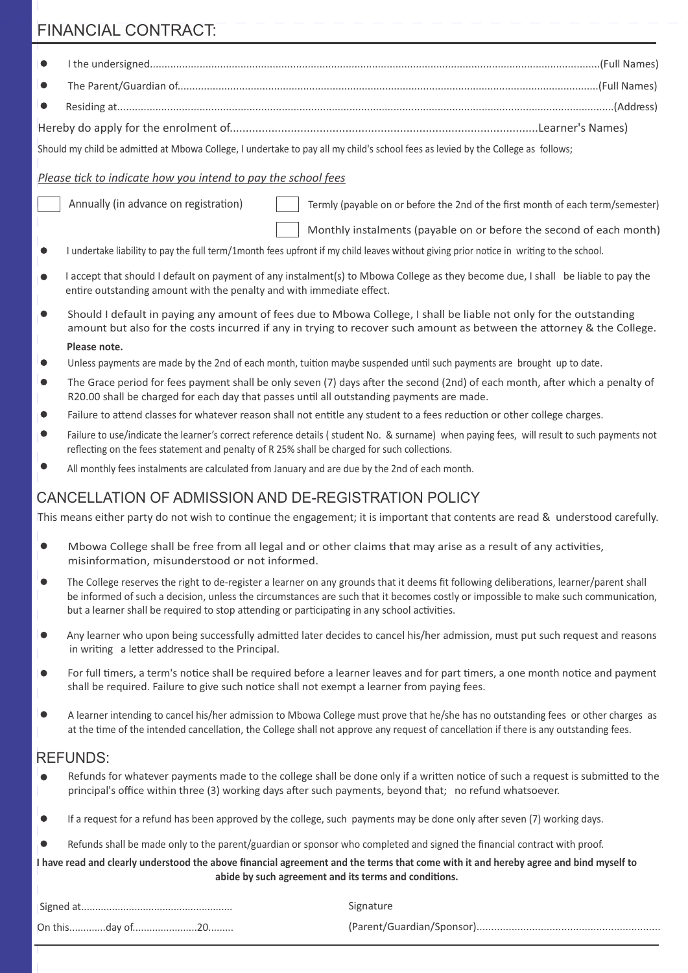# FINANCIAL CONTRACT:

1

 $\top$  $\overline{1}$ 

| $\bullet$                                              |                                                                                                                                                |                                                                                                                                                                                                                                                                                                                                                                                                                                                                                                                                                                                                                                                                                                                                                                                                                                                                                                                                                                               |
|--------------------------------------------------------|------------------------------------------------------------------------------------------------------------------------------------------------|-------------------------------------------------------------------------------------------------------------------------------------------------------------------------------------------------------------------------------------------------------------------------------------------------------------------------------------------------------------------------------------------------------------------------------------------------------------------------------------------------------------------------------------------------------------------------------------------------------------------------------------------------------------------------------------------------------------------------------------------------------------------------------------------------------------------------------------------------------------------------------------------------------------------------------------------------------------------------------|
|                                                        |                                                                                                                                                |                                                                                                                                                                                                                                                                                                                                                                                                                                                                                                                                                                                                                                                                                                                                                                                                                                                                                                                                                                               |
| $\bullet$                                              |                                                                                                                                                |                                                                                                                                                                                                                                                                                                                                                                                                                                                                                                                                                                                                                                                                                                                                                                                                                                                                                                                                                                               |
|                                                        |                                                                                                                                                |                                                                                                                                                                                                                                                                                                                                                                                                                                                                                                                                                                                                                                                                                                                                                                                                                                                                                                                                                                               |
|                                                        |                                                                                                                                                | Should my child be admitted at Mbowa College, I undertake to pay all my child's school fees as levied by the College as follows;                                                                                                                                                                                                                                                                                                                                                                                                                                                                                                                                                                                                                                                                                                                                                                                                                                              |
|                                                        | Please tick to indicate how you intend to pay the school fees                                                                                  |                                                                                                                                                                                                                                                                                                                                                                                                                                                                                                                                                                                                                                                                                                                                                                                                                                                                                                                                                                               |
|                                                        | Annually (in advance on registration)                                                                                                          | Termly (payable on or before the 2nd of the first month of each term/semester)                                                                                                                                                                                                                                                                                                                                                                                                                                                                                                                                                                                                                                                                                                                                                                                                                                                                                                |
|                                                        |                                                                                                                                                | Monthly instalments (payable on or before the second of each month)                                                                                                                                                                                                                                                                                                                                                                                                                                                                                                                                                                                                                                                                                                                                                                                                                                                                                                           |
|                                                        |                                                                                                                                                | I undertake liability to pay the full term/1month fees upfront if my child leaves without giving prior notice in writing to the school.                                                                                                                                                                                                                                                                                                                                                                                                                                                                                                                                                                                                                                                                                                                                                                                                                                       |
|                                                        | entire outstanding amount with the penalty and with immediate effect.                                                                          | I accept that should I default on payment of any instalment(s) to Mbowa College as they become due, I shall be liable to pay the                                                                                                                                                                                                                                                                                                                                                                                                                                                                                                                                                                                                                                                                                                                                                                                                                                              |
|                                                        |                                                                                                                                                | Should I default in paying any amount of fees due to Mbowa College, I shall be liable not only for the outstanding<br>amount but also for the costs incurred if any in trying to recover such amount as between the attorney & the College.                                                                                                                                                                                                                                                                                                                                                                                                                                                                                                                                                                                                                                                                                                                                   |
| $\bullet$                                              | Please note.                                                                                                                                   |                                                                                                                                                                                                                                                                                                                                                                                                                                                                                                                                                                                                                                                                                                                                                                                                                                                                                                                                                                               |
|                                                        |                                                                                                                                                | Unless payments are made by the 2nd of each month, tuition maybe suspended until such payments are brought up to date.<br>The Grace period for fees payment shall be only seven (7) days after the second (2nd) of each month, after which a penalty of                                                                                                                                                                                                                                                                                                                                                                                                                                                                                                                                                                                                                                                                                                                       |
| $\bullet$                                              | R20.00 shall be charged for each day that passes until all outstanding payments are made.                                                      |                                                                                                                                                                                                                                                                                                                                                                                                                                                                                                                                                                                                                                                                                                                                                                                                                                                                                                                                                                               |
| $\bullet$                                              |                                                                                                                                                | Failure to attend classes for whatever reason shall not entitle any student to a fees reduction or other college charges.                                                                                                                                                                                                                                                                                                                                                                                                                                                                                                                                                                                                                                                                                                                                                                                                                                                     |
|                                                        | reflecting on the fees statement and penalty of R 25% shall be charged for such collections.                                                   | Failure to use/indicate the learner's correct reference details (student No. & surname) when paying fees, will result to such payments not                                                                                                                                                                                                                                                                                                                                                                                                                                                                                                                                                                                                                                                                                                                                                                                                                                    |
|                                                        | All monthly fees instalments are calculated from January and are due by the 2nd of each month.                                                 |                                                                                                                                                                                                                                                                                                                                                                                                                                                                                                                                                                                                                                                                                                                                                                                                                                                                                                                                                                               |
|                                                        |                                                                                                                                                | This means either party do not wish to continue the engagement; it is important that contents are read & understood carefully.                                                                                                                                                                                                                                                                                                                                                                                                                                                                                                                                                                                                                                                                                                                                                                                                                                                |
|                                                        |                                                                                                                                                | Mbowa College shall be free from all legal and or other claims that may arise as a result of any activities,                                                                                                                                                                                                                                                                                                                                                                                                                                                                                                                                                                                                                                                                                                                                                                                                                                                                  |
|                                                        | misinformation, misunderstood or not informed.<br>but a learner shall be required to stop attending or participating in any school activities. |                                                                                                                                                                                                                                                                                                                                                                                                                                                                                                                                                                                                                                                                                                                                                                                                                                                                                                                                                                               |
|                                                        | in writing a letter addressed to the Principal.                                                                                                |                                                                                                                                                                                                                                                                                                                                                                                                                                                                                                                                                                                                                                                                                                                                                                                                                                                                                                                                                                               |
|                                                        | shall be required. Failure to give such notice shall not exempt a learner from paying fees.                                                    |                                                                                                                                                                                                                                                                                                                                                                                                                                                                                                                                                                                                                                                                                                                                                                                                                                                                                                                                                                               |
|                                                        |                                                                                                                                                | at the time of the intended cancellation, the College shall not approve any request of cancellation if there is any outstanding fees.                                                                                                                                                                                                                                                                                                                                                                                                                                                                                                                                                                                                                                                                                                                                                                                                                                         |
|                                                        | <b>REFUNDS:</b>                                                                                                                                |                                                                                                                                                                                                                                                                                                                                                                                                                                                                                                                                                                                                                                                                                                                                                                                                                                                                                                                                                                               |
|                                                        |                                                                                                                                                | principal's office within three (3) working days after such payments, beyond that; no refund whatsoever.                                                                                                                                                                                                                                                                                                                                                                                                                                                                                                                                                                                                                                                                                                                                                                                                                                                                      |
|                                                        |                                                                                                                                                | If a request for a refund has been approved by the college, such payments may be done only after seven (7) working days.                                                                                                                                                                                                                                                                                                                                                                                                                                                                                                                                                                                                                                                                                                                                                                                                                                                      |
|                                                        |                                                                                                                                                | Refunds shall be made only to the parent/guardian or sponsor who completed and signed the financial contract with proof.                                                                                                                                                                                                                                                                                                                                                                                                                                                                                                                                                                                                                                                                                                                                                                                                                                                      |
|                                                        |                                                                                                                                                | abide by such agreement and its terms and conditions.                                                                                                                                                                                                                                                                                                                                                                                                                                                                                                                                                                                                                                                                                                                                                                                                                                                                                                                         |
| lo<br>$\bullet$<br>$\bullet$<br>$\bullet$<br>$\bullet$ |                                                                                                                                                | The College reserves the right to de-register a learner on any grounds that it deems fit following deliberations, learner/parent shall<br>be informed of such a decision, unless the circumstances are such that it becomes costly or impossible to make such communication,<br>Any learner who upon being successfully admitted later decides to cancel his/her admission, must put such request and reasons<br>For full timers, a term's notice shall be required before a learner leaves and for part timers, a one month notice and payment<br>A learner intending to cancel his/her admission to Mbowa College must prove that he/she has no outstanding fees or other charges as<br>Refunds for whatever payments made to the college shall be done only if a written notice of such a request is submitted to the<br>I have read and clearly understood the above financial agreement and the terms that come with it and hereby agree and bind myself to<br>Signature |